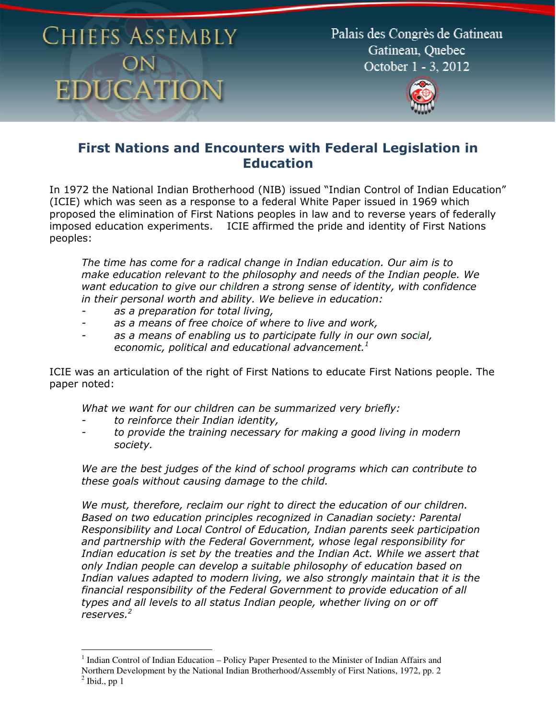Palais des Congrès de Gatineau Gatineau, Ouebec October 1 - 3, 2012



#### First Nations and Encounters with Federal Legislation in **Education**

In 1972 the National Indian Brotherhood (NIB) issued "Indian Control of Indian Education" (ICIE) which was seen as a response to a federal White Paper issued in 1969 which proposed the elimination of First Nations peoples in law and to reverse years of federally imposed education experiments. ICIE affirmed the pride and identity of First Nations peoples:

The time has come for a radical change in Indian education. Our aim is to make education relevant to the philosophy and needs of the Indian people. We want education to give our children a strong sense of identity, with confidence in their personal worth and ability. We believe in education:

- as a preparation for total living,
- as a means of free choice of where to live and work,
- as a means of enabling us to participate fully in our own social, economic, political and educational advancement. $1$

ICIE was an articulation of the right of First Nations to educate First Nations people. The paper noted:

What we want for our children can be summarized very briefly:

to reinforce their Indian identity,

 $\overline{a}$ 

to provide the training necessary for making a good living in modern society.

We are the best judges of the kind of school programs which can contribute to these goals without causing damage to the child.

We must, therefore, reclaim our right to direct the education of our children. Based on two education principles recognized in Canadian society: Parental Responsibility and Local Control of Education, Indian parents seek participation and partnership with the Federal Government, whose legal responsibility for Indian education is set by the treaties and the Indian Act. While we assert that only Indian people can develop a suitable philosophy of education based on Indian values adapted to modern living, we also strongly maintain that it is the financial responsibility of the Federal Government to provide education of all types and all levels to all status Indian people, whether living on or off reserves. $^2\,$ 

<sup>&</sup>lt;sup>1</sup> Indian Control of Indian Education – Policy Paper Presented to the Minister of Indian Affairs and Northern Development by the National Indian Brotherhood/Assembly of First Nations, 1972, pp. 2  $<sup>2</sup>$  Ibid., pp 1</sup>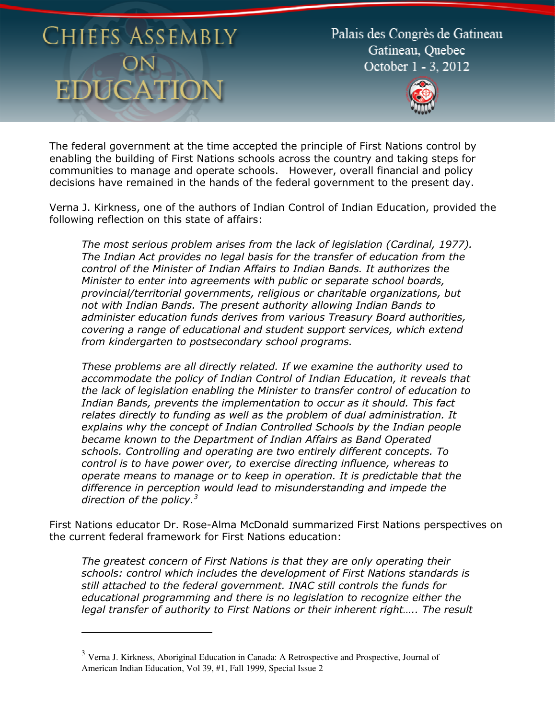$\overline{a}$ 

Palais des Congrès de Gatineau Gatineau, Ouebec October 1 - 3, 2012



The federal government at the time accepted the principle of First Nations control by enabling the building of First Nations schools across the country and taking steps for communities to manage and operate schools. However, overall financial and policy decisions have remained in the hands of the federal government to the present day.

Verna J. Kirkness, one of the authors of Indian Control of Indian Education, provided the following reflection on this state of affairs:

The most serious problem arises from the lack of legislation (Cardinal, 1977). The Indian Act provides no legal basis for the transfer of education from the control of the Minister of Indian Affairs to Indian Bands. It authorizes the Minister to enter into agreements with public or separate school boards, provincial/territorial governments, religious or charitable organizations, but not with Indian Bands. The present authority allowing Indian Bands to administer education funds derives from various Treasury Board authorities, covering a range of educational and student support services, which extend from kindergarten to postsecondary school programs.

These problems are all directly related. If we examine the authority used to accommodate the policy of Indian Control of Indian Education, it reveals that the lack of legislation enabling the Minister to transfer control of education to Indian Bands, prevents the implementation to occur as it should. This fact relates directly to funding as well as the problem of dual administration. It explains why the concept of Indian Controlled Schools by the Indian people became known to the Department of Indian Affairs as Band Operated schools. Controlling and operating are two entirely different concepts. To control is to have power over, to exercise directing influence, whereas to operate means to manage or to keep in operation. It is predictable that the difference in perception would lead to misunderstanding and impede the direction of the policy. $3$ 

First Nations educator Dr. Rose-Alma McDonald summarized First Nations perspectives on the current federal framework for First Nations education:

The greatest concern of First Nations is that they are only operating their schools: control which includes the development of First Nations standards is still attached to the federal government. INAC still controls the funds for educational programming and there is no legislation to recognize either the legal transfer of authority to First Nations or their inherent right….. The result

<sup>&</sup>lt;sup>3</sup> Verna J. Kirkness, Aboriginal Education in Canada: A Retrospective and Prospective, Journal of American Indian Education, Vol 39, #1, Fall 1999, Special Issue 2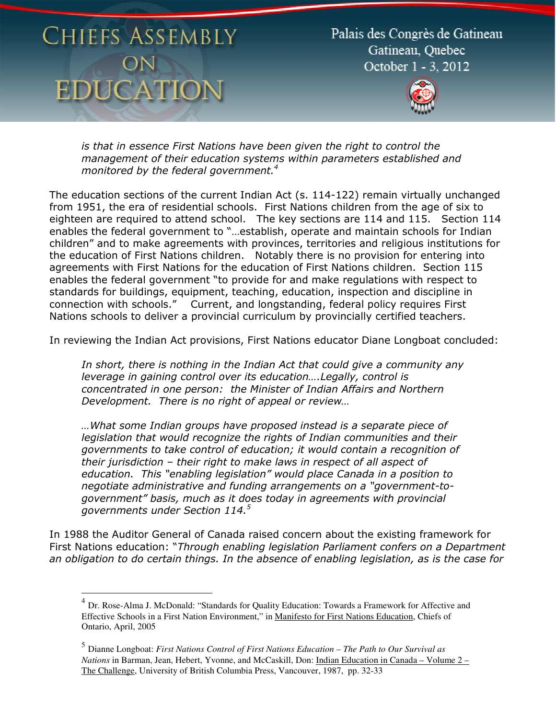Palais des Congrès de Gatineau Gatineau, Ouebec October 1 - 3, 2012



is that in essence First Nations have been given the right to control the management of their education systems within parameters established and monitored by the federal government.<sup>4</sup>

The education sections of the current Indian Act (s. 114-122) remain virtually unchanged from 1951, the era of residential schools. First Nations children from the age of six to eighteen are required to attend school. The key sections are 114 and 115. Section 114 enables the federal government to "…establish, operate and maintain schools for Indian children" and to make agreements with provinces, territories and religious institutions for the education of First Nations children. Notably there is no provision for entering into agreements with First Nations for the education of First Nations children. Section 115 enables the federal government "to provide for and make regulations with respect to standards for buildings, equipment, teaching, education, inspection and discipline in connection with schools." Current, and longstanding, federal policy requires First Nations schools to deliver a provincial curriculum by provincially certified teachers.

In reviewing the Indian Act provisions, First Nations educator Diane Longboat concluded:

In short, there is nothing in the Indian Act that could give a community any leverage in gaining control over its education….Legally, control is concentrated in one person: the Minister of Indian Affairs and Northern Development. There is no right of appeal or review…

…What some Indian groups have proposed instead is a separate piece of legislation that would recognize the rights of Indian communities and their governments to take control of education; it would contain a recognition of their jurisdiction – their right to make laws in respect of all aspect of education. This "enabling legislation" would place Canada in a position to negotiate administrative and funding arrangements on a "government-togovernment" basis, much as it does today in agreements with provincial governments under Section 114. $^5$ 

In 1988 the Auditor General of Canada raised concern about the existing framework for First Nations education: "Through enabling legislation Parliament confers on a Department an obligation to do certain things. In the absence of enabling legislation, as is the case for

 4 Dr. Rose-Alma J. McDonald: "Standards for Quality Education: Towards a Framework for Affective and Effective Schools in a First Nation Environment," in Manifesto for First Nations Education, Chiefs of Ontario, April, 2005

<sup>5</sup> Dianne Longboat: *First Nations Control of First Nations Education – The Path to Our Survival as Nations* in Barman, Jean, Hebert, Yvonne, and McCaskill, Don: Indian Education in Canada – Volume 2 – The Challenge, University of British Columbia Press, Vancouver, 1987, pp. 32-33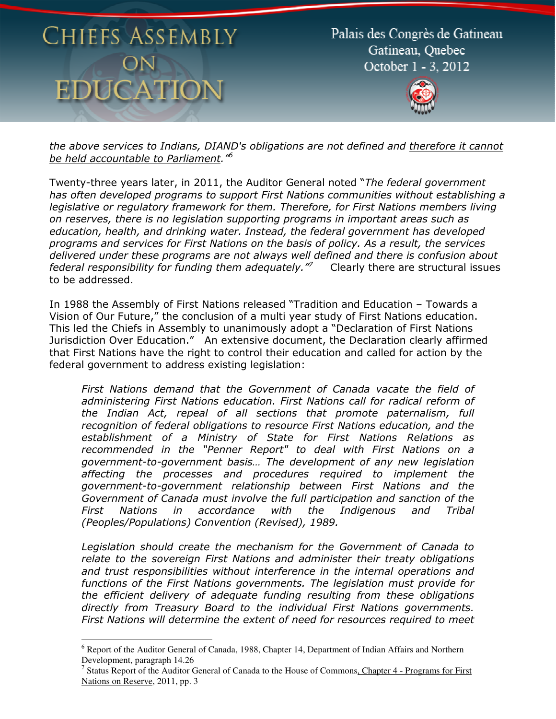$\overline{a}$ 

Palais des Congrès de Gatineau Gatineau, Ouebec October 1 - 3, 2012



the above services to Indians, DIAND's obligations are not defined and therefore it cannot be held accountable to Parliament.<sup>16</sup>

Twenty-three years later, in 2011, the Auditor General noted "The federal government has often developed programs to support First Nations communities without establishing a legislative or regulatory framework for them. Therefore, for First Nations members living on reserves, there is no legislation supporting programs in important areas such as education, health, and drinking water. Instead, the federal government has developed programs and services for First Nations on the basis of policy. As a result, the services delivered under these programs are not always well defined and there is confusion about federal responsibility for funding them adequately.<sup>"7</sup> Clearly there are structural issues to be addressed.

In 1988 the Assembly of First Nations released "Tradition and Education – Towards a Vision of Our Future," the conclusion of a multi year study of First Nations education. This led the Chiefs in Assembly to unanimously adopt a "Declaration of First Nations Jurisdiction Over Education." An extensive document, the Declaration clearly affirmed that First Nations have the right to control their education and called for action by the federal government to address existing legislation:

First Nations demand that the Government of Canada vacate the field of administering First Nations education. First Nations call for radical reform of the Indian Act, repeal of all sections that promote paternalism, full recognition of federal obligations to resource First Nations education, and the establishment of a Ministry of State for First Nations Relations as recommended in the "Penner Report" to deal with First Nations on a government-to-government basis… The development of any new legislation affecting the processes and procedures required to implement the government-to-government relationship between First Nations and the Government of Canada must involve the full participation and sanction of the First Nations in accordance with the Indigenous and Tribal (Peoples/Populations) Convention (Revised), 1989.

Legislation should create the mechanism for the Government of Canada to relate to the sovereign First Nations and administer their treaty obligations and trust responsibilities without interference in the internal operations and functions of the First Nations governments. The legislation must provide for the efficient delivery of adequate funding resulting from these obligations directly from Treasury Board to the individual First Nations governments. First Nations will determine the extent of need for resources required to meet

<sup>&</sup>lt;sup>6</sup> Report of the Auditor General of Canada, 1988, Chapter 14, Department of Indian Affairs and Northern Development, paragraph 14.26

<sup>&</sup>lt;sup>7</sup> Status Report of the Auditor General of Canada to the House of Commons, Chapter 4 - Programs for First Nations on Reserve, 2011, pp. 3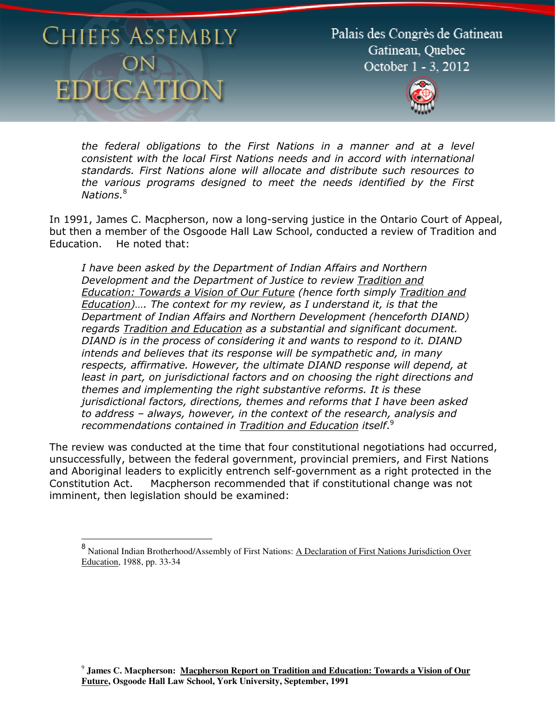$\overline{\phantom{a}}$ 

Palais des Congrès de Gatineau Gatineau, Ouebec October 1 - 3, 2012



the federal obligations to the First Nations in a manner and at a level consistent with the local First Nations needs and in accord with international standards. First Nations alone will allocate and distribute such resources to the various programs designed to meet the needs identified by the First Nations.<sup>8</sup>

In 1991, James C. Macpherson, now a long-serving justice in the Ontario Court of Appeal, but then a member of the Osgoode Hall Law School, conducted a review of Tradition and Education. He noted that:

I have been asked by the Department of Indian Affairs and Northern Development and the Department of Justice to review Tradition and Education: Towards a Vision of Our Future (hence forth simply Tradition and Education)…. The context for my review, as I understand it, is that the Department of Indian Affairs and Northern Development (henceforth DIAND) regards Tradition and Education as a substantial and significant document. DIAND is in the process of considering it and wants to respond to it. DIAND intends and believes that its response will be sympathetic and, in many respects, affirmative. However, the ultimate DIAND response will depend, at least in part, on jurisdictional factors and on choosing the right directions and themes and implementing the right substantive reforms. It is these jurisdictional factors, directions, themes and reforms that I have been asked to address – always, however, in the context of the research, analysis and recommendations contained in Tradition and Education itself.<sup>9</sup>

The review was conducted at the time that four constitutional negotiations had occurred, unsuccessfully, between the federal government, provincial premiers, and First Nations and Aboriginal leaders to explicitly entrench self-government as a right protected in the Constitution Act. Macpherson recommended that if constitutional change was not imminent, then legislation should be examined:

<sup>&</sup>lt;sup>8</sup> National Indian Brotherhood/Assembly of First Nations: A Declaration of First Nations Jurisdiction Over Education, 1988, pp. 33-34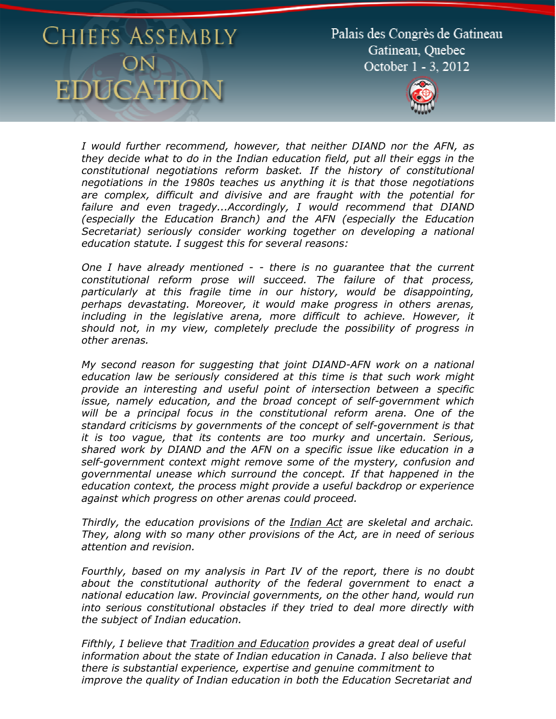Palais des Congrès de Gatineau Gatineau, Ouebec October 1 - 3, 2012



I would further recommend, however, that neither DIAND nor the AFN, as they decide what to do in the Indian education field, put all their eggs in the constitutional negotiations reform basket. If the history of constitutional negotiations in the 1980s teaches us anything it is that those negotiations are complex, difficult and divisive and are fraught with the potential for failure and even tragedy...Accordingly, I would recommend that DIAND (especially the Education Branch) and the AFN (especially the Education Secretariat) seriously consider working together on developing a national education statute. I suggest this for several reasons:

One I have already mentioned - - there is no guarantee that the current constitutional reform prose will succeed. The failure of that process, particularly at this fragile time in our history, would be disappointing, perhaps devastating. Moreover, it would make progress in others arenas, including in the legislative arena, more difficult to achieve. However, it should not, in my view, completely preclude the possibility of progress in other arenas.

My second reason for suggesting that joint DIAND-AFN work on a national education law be seriously considered at this time is that such work might provide an interesting and useful point of intersection between a specific issue, namely education, and the broad concept of self-government which will be a principal focus in the constitutional reform arena. One of the standard criticisms by governments of the concept of self-government is that it is too vague, that its contents are too murky and uncertain. Serious, shared work by DIAND and the AFN on a specific issue like education in a self-government context might remove some of the mystery, confusion and governmental unease which surround the concept. If that happened in the education context, the process might provide a useful backdrop or experience against which progress on other arenas could proceed.

Thirdly, the education provisions of the Indian Act are skeletal and archaic. They, along with so many other provisions of the Act, are in need of serious attention and revision.

Fourthly, based on my analysis in Part IV of the report, there is no doubt about the constitutional authority of the federal government to enact a national education law. Provincial governments, on the other hand, would run into serious constitutional obstacles if they tried to deal more directly with the subject of Indian education.

Fifthly, I believe that Tradition and Education provides a great deal of useful information about the state of Indian education in Canada. I also believe that there is substantial experience, expertise and genuine commitment to improve the quality of Indian education in both the Education Secretariat and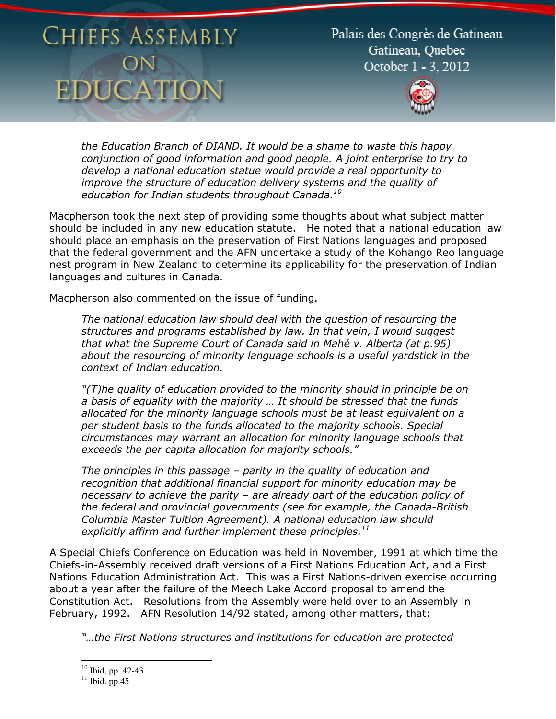Palais des Congrès de Gatineau Gatineau, Ouebec October 1 - 3, 2012



the Education Branch of DIAND. It would be a shame to waste this happy conjunction of good information and good people. A joint enterprise to try to develop a national education statue would provide a real opportunity to improve the structure of education delivery systems and the quality of education for Indian students throughout Canada. $^{10}$ 

Macpherson took the next step of providing some thoughts about what subject matter should be included in any new education statute. He noted that a national education law should place an emphasis on the preservation of First Nations languages and proposed that the federal government and the AFN undertake a study of the Kohango Reo language nest program in New Zealand to determine its applicability for the preservation of Indian languages and cultures in Canada.

Macpherson also commented on the issue of funding.

The national education law should deal with the question of resourcing the structures and programs established by law. In that vein, I would suggest that what the Supreme Court of Canada said in Mahé v. Alberta (at p.95) about the resourcing of minority language schools is a useful yardstick in the context of Indian education.

"(T)he quality of education provided to the minority should in principle be on a basis of equality with the majority … It should be stressed that the funds allocated for the minority language schools must be at least equivalent on a per student basis to the funds allocated to the majority schools. Special circumstances may warrant an allocation for minority language schools that exceeds the per capita allocation for majority schools."

The principles in this passage – parity in the quality of education and recognition that additional financial support for minority education may be necessary to achieve the parity – are already part of the education policy of the federal and provincial governments (see for example, the Canada-British Columbia Master Tuition Agreement). A national education law should explicitly affirm and further implement these principles. $^{11}$ 

A Special Chiefs Conference on Education was held in November, 1991 at which time the Chiefs-in-Assembly received draft versions of a First Nations Education Act, and a First Nations Education Administration Act. This was a First Nations-driven exercise occurring about a year after the failure of the Meech Lake Accord proposal to amend the Constitution Act. Resolutions from the Assembly were held over to an Assembly in February, 1992. AFN Resolution 14/92 stated, among other matters, that:

"…the First Nations structures and institutions for education are protected

 $\overline{a}$  $10$  Ibid, pp. 42-43

 $11$  Ibid. pp.45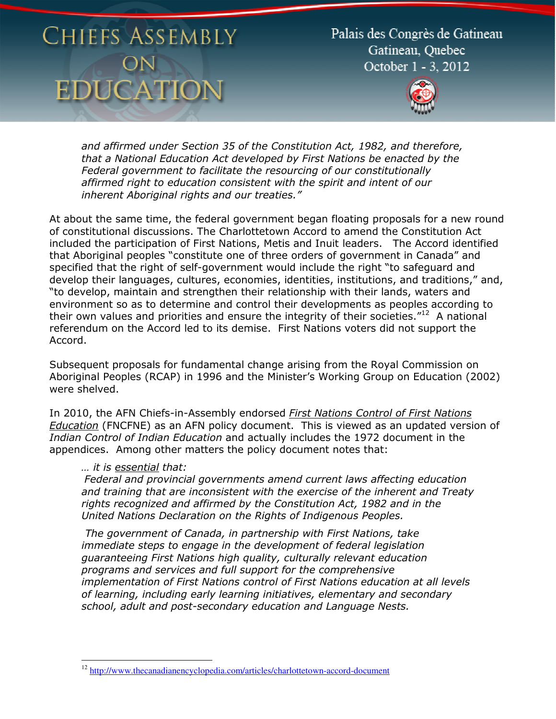Palais des Congrès de Gatineau Gatineau, Ouebec October 1 - 3, 2012



and affirmed under Section 35 of the Constitution Act, 1982, and therefore, that a National Education Act developed by First Nations be enacted by the Federal government to facilitate the resourcing of our constitutionally affirmed right to education consistent with the spirit and intent of our inherent Aboriginal rights and our treaties."

At about the same time, the federal government began floating proposals for a new round of constitutional discussions. The Charlottetown Accord to amend the Constitution Act included the participation of First Nations, Metis and Inuit leaders. The Accord identified that Aboriginal peoples "constitute one of three orders of government in Canada" and specified that the right of self-government would include the right "to safeguard and develop their languages, cultures, economies, identities, institutions, and traditions," and, "to develop, maintain and strengthen their relationship with their lands, waters and environment so as to determine and control their developments as peoples according to their own values and priorities and ensure the integrity of their societies. $12^2$  A national referendum on the Accord led to its demise. First Nations voters did not support the Accord.

Subsequent proposals for fundamental change arising from the Royal Commission on Aboriginal Peoples (RCAP) in 1996 and the Minister's Working Group on Education (2002) were shelved.

In 2010, the AFN Chiefs-in-Assembly endorsed First Nations Control of First Nations Education (FNCFNE) as an AFN policy document. This is viewed as an updated version of Indian Control of Indian Education and actually includes the 1972 document in the appendices. Among other matters the policy document notes that:

#### … it is essential that:

Federal and provincial governments amend current laws affecting education and training that are inconsistent with the exercise of the inherent and Treaty rights recognized and affirmed by the Constitution Act, 1982 and in the United Nations Declaration on the Rights of Indigenous Peoples.

 The government of Canada, in partnership with First Nations, take immediate steps to engage in the development of federal legislation guaranteeing First Nations high quality, culturally relevant education programs and services and full support for the comprehensive implementation of First Nations control of First Nations education at all levels of learning, including early learning initiatives, elementary and secondary school, adult and post-secondary education and Language Nests.

 $\overline{a}$ <sup>12</sup> http://www.thecanadianencyclopedia.com/articles/charlottetown-accord-document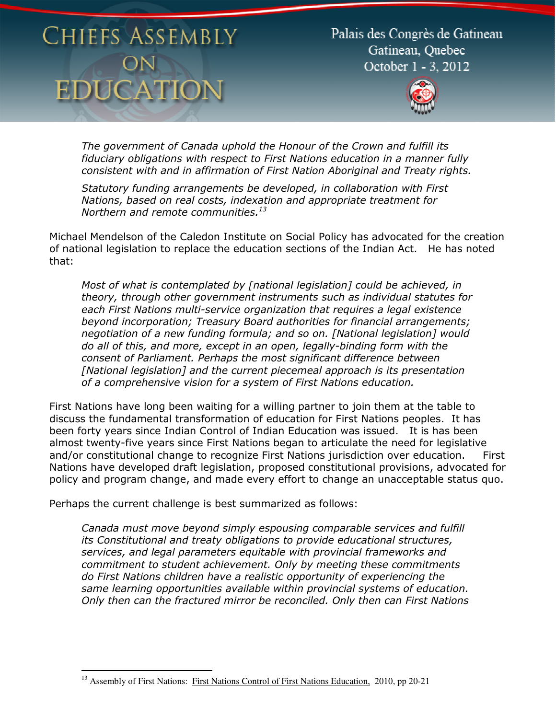Palais des Congrès de Gatineau Gatineau, Ouebec October 1 - 3, 2012



The government of Canada uphold the Honour of the Crown and fulfill its fiduciary obligations with respect to First Nations education in a manner fully consistent with and in affirmation of First Nation Aboriginal and Treaty rights.

Statutory funding arrangements be developed, in collaboration with First Nations, based on real costs, indexation and appropriate treatment for Northern and remote communities. $13$ 

Michael Mendelson of the Caledon Institute on Social Policy has advocated for the creation of national legislation to replace the education sections of the Indian Act. He has noted that:

Most of what is contemplated by [national legislation] could be achieved, in theory, through other government instruments such as individual statutes for each First Nations multi-service organization that requires a legal existence beyond incorporation; Treasury Board authorities for financial arrangements; negotiation of a new funding formula; and so on. [National legislation] would do all of this, and more, except in an open, legally-binding form with the consent of Parliament. Perhaps the most significant difference between [National legislation] and the current piecemeal approach is its presentation of a comprehensive vision for a system of First Nations education.

First Nations have long been waiting for a willing partner to join them at the table to discuss the fundamental transformation of education for First Nations peoples. It has been forty years since Indian Control of Indian Education was issued. It is has been almost twenty-five years since First Nations began to articulate the need for legislative and/or constitutional change to recognize First Nations jurisdiction over education. First Nations have developed draft legislation, proposed constitutional provisions, advocated for policy and program change, and made every effort to change an unacceptable status quo.

Perhaps the current challenge is best summarized as follows:

l

Canada must move beyond simply espousing comparable services and fulfill its Constitutional and treaty obligations to provide educational structures, services, and legal parameters equitable with provincial frameworks and commitment to student achievement. Only by meeting these commitments do First Nations children have a realistic opportunity of experiencing the same learning opportunities available within provincial systems of education. Only then can the fractured mirror be reconciled. Only then can First Nations

<sup>&</sup>lt;sup>13</sup> Assembly of First Nations: First Nations Control of First Nations Education, 2010, pp 20-21